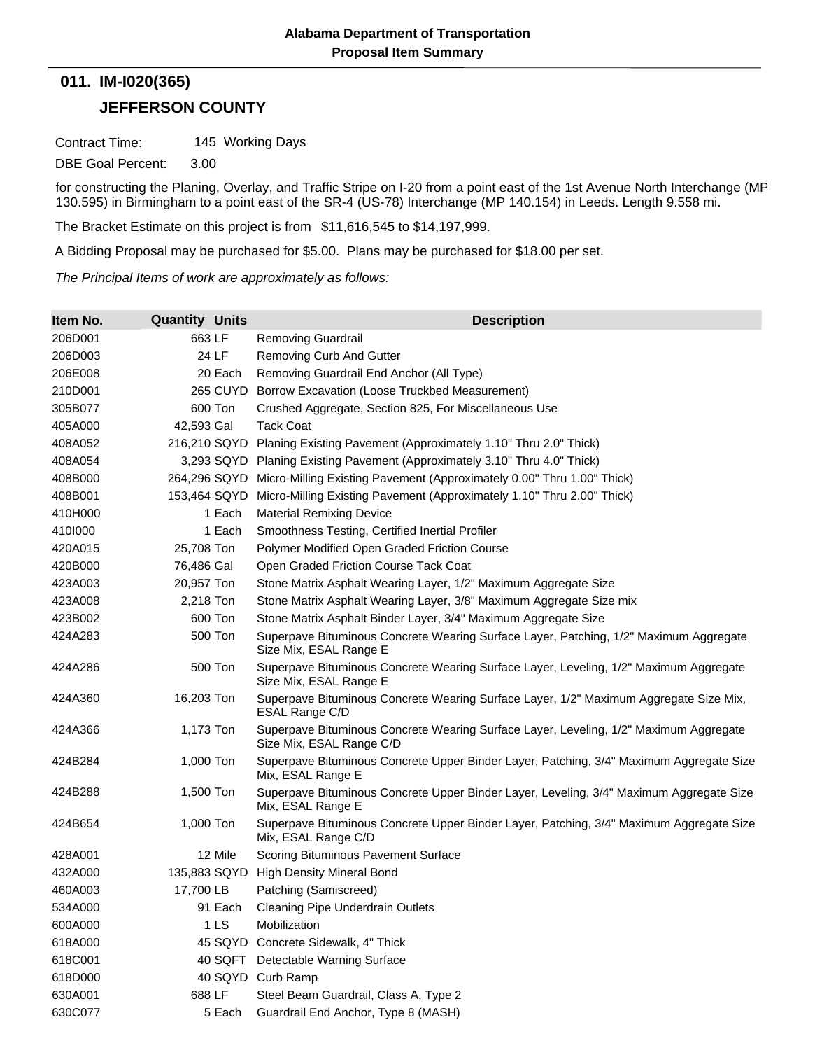## **JEFFERSON COUNTY 011. IM-I020(365)**

Contract Time: 145 Working Days

DBE Goal Percent: 3.00

for constructing the Planing, Overlay, and Traffic Stripe on I-20 from a point east of the 1st Avenue North Interchange (MP 130.595) in Birmingham to a point east of the SR-4 (US-78) Interchange (MP 140.154) in Leeds. Length 9.558 mi.

The Bracket Estimate on this project is from \$11,616,545 to \$14,197,999.

A Bidding Proposal may be purchased for \$5.00. Plans may be purchased for \$18.00 per set.

*The Principal Items of work are approximately as follows:*

| Item No. | <b>Quantity Units</b> | <b>Description</b>                                                                                                |
|----------|-----------------------|-------------------------------------------------------------------------------------------------------------------|
| 206D001  | 663 LF                | <b>Removing Guardrail</b>                                                                                         |
| 206D003  | 24 LF                 | <b>Removing Curb And Gutter</b>                                                                                   |
| 206E008  | 20 Each               | Removing Guardrail End Anchor (All Type)                                                                          |
| 210D001  | 265 CUYD              | Borrow Excavation (Loose Truckbed Measurement)                                                                    |
| 305B077  | 600 Ton               | Crushed Aggregate, Section 825, For Miscellaneous Use                                                             |
| 405A000  | 42,593 Gal            | <b>Tack Coat</b>                                                                                                  |
| 408A052  | 216,210 SQYD          | Planing Existing Pavement (Approximately 1.10" Thru 2.0" Thick)                                                   |
| 408A054  |                       | 3,293 SQYD Planing Existing Pavement (Approximately 3.10" Thru 4.0" Thick)                                        |
| 408B000  |                       | 264,296 SQYD Micro-Milling Existing Pavement (Approximately 0.00" Thru 1.00" Thick)                               |
| 408B001  | 153,464 SQYD          | Micro-Milling Existing Pavement (Approximately 1.10" Thru 2.00" Thick)                                            |
| 410H000  | 1 Each                | <b>Material Remixing Device</b>                                                                                   |
| 4101000  | 1 Each                | Smoothness Testing, Certified Inertial Profiler                                                                   |
| 420A015  | 25,708 Ton            | Polymer Modified Open Graded Friction Course                                                                      |
| 420B000  | 76,486 Gal            | Open Graded Friction Course Tack Coat                                                                             |
| 423A003  | 20,957 Ton            | Stone Matrix Asphalt Wearing Layer, 1/2" Maximum Aggregate Size                                                   |
| 423A008  | 2,218 Ton             | Stone Matrix Asphalt Wearing Layer, 3/8" Maximum Aggregate Size mix                                               |
| 423B002  | 600 Ton               | Stone Matrix Asphalt Binder Layer, 3/4" Maximum Aggregate Size                                                    |
| 424A283  | 500 Ton               | Superpave Bituminous Concrete Wearing Surface Layer, Patching, 1/2" Maximum Aggregate<br>Size Mix, ESAL Range E   |
| 424A286  | 500 Ton               | Superpave Bituminous Concrete Wearing Surface Layer, Leveling, 1/2" Maximum Aggregate<br>Size Mix, ESAL Range E   |
| 424A360  | 16,203 Ton            | Superpave Bituminous Concrete Wearing Surface Layer, 1/2" Maximum Aggregate Size Mix,<br>ESAL Range C/D           |
| 424A366  | 1,173 Ton             | Superpave Bituminous Concrete Wearing Surface Layer, Leveling, 1/2" Maximum Aggregate<br>Size Mix, ESAL Range C/D |
| 424B284  | 1,000 Ton             | Superpave Bituminous Concrete Upper Binder Layer, Patching, 3/4" Maximum Aggregate Size<br>Mix, ESAL Range E      |
| 424B288  | 1,500 Ton             | Superpave Bituminous Concrete Upper Binder Layer, Leveling, 3/4" Maximum Aggregate Size<br>Mix, ESAL Range E      |
| 424B654  | 1,000 Ton             | Superpave Bituminous Concrete Upper Binder Layer, Patching, 3/4" Maximum Aggregate Size<br>Mix, ESAL Range C/D    |
| 428A001  | 12 Mile               | Scoring Bituminous Pavement Surface                                                                               |
| 432A000  | 135,883 SQYD          | <b>High Density Mineral Bond</b>                                                                                  |
| 460A003  | 17,700 LB             | Patching (Samiscreed)                                                                                             |
| 534A000  | 91 Each               | Cleaning Pipe Underdrain Outlets                                                                                  |
| 600A000  | 1 LS                  | Mobilization                                                                                                      |
| 618A000  | 45 SQYD               | Concrete Sidewalk, 4" Thick                                                                                       |
| 618C001  | 40 SQFT               | Detectable Warning Surface                                                                                        |
| 618D000  |                       | 40 SQYD Curb Ramp                                                                                                 |
| 630A001  | 688 LF                | Steel Beam Guardrail, Class A, Type 2                                                                             |
| 630C077  | 5 Each                | Guardrail End Anchor, Type 8 (MASH)                                                                               |